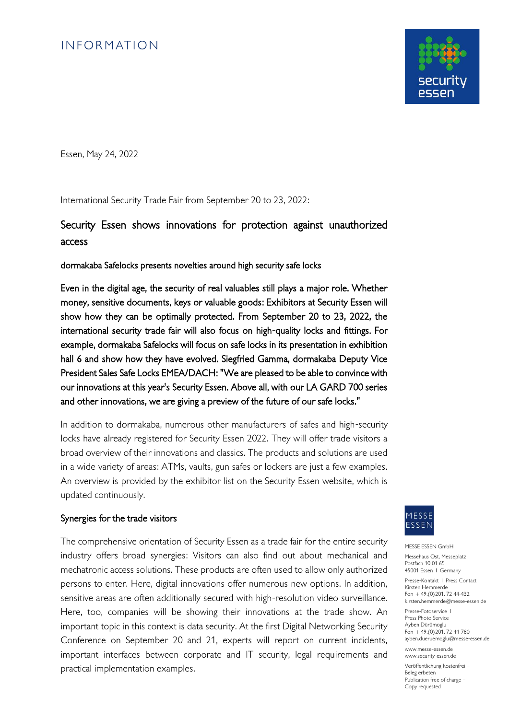## **INFORMATION**



Essen, May 24, 2022

International Security Trade Fair from September 20 to 23, 2022:

## Security Essen shows innovations for protection against unauthorized access

dormakaba Safelocks presents novelties around high security safe locks

Even in the digital age, the security of real valuables still plays a major role. Whether money, sensitive documents, keys or valuable goods: Exhibitors at Security Essen will show how they can be optimally protected. From September 20 to 23, 2022, the international security trade fair will also focus on high-quality locks and fittings. For example, dormakaba Safelocks will focus on safe locks in its presentation in exhibition hall 6 and show how they have evolved. Siegfried Gamma, dormakaba Deputy Vice President Sales Safe Locks EMEA/DACH: "We are pleased to be able to convince with our innovations at this year's Security Essen. Above all, with our LA GARD 700 series and other innovations, we are giving a preview of the future of our safe locks."

In addition to dormakaba, numerous other manufacturers of safes and high-security locks have already registered for Security Essen 2022. They will offer trade visitors a broad overview of their innovations and classics. The products and solutions are used in a wide variety of areas: ATMs, vaults, gun safes or lockers are just a few examples. An overview is provided by the exhibitor list on the Security Essen website, which is updated continuously.

## Synergies for the trade visitors

The comprehensive orientation of Security Essen as a trade fair for the entire security industry offers broad synergies: Visitors can also find out about mechanical and mechatronic access solutions. These products are often used to allow only authorized persons to enter. Here, digital innovations offer numerous new options. In addition, sensitive areas are often additionally secured with high-resolution video surveillance. Here, too, companies will be showing their innovations at the trade show. An important topic in this context is data security. At the first Digital Networking Security Conference on September 20 and 21, experts will report on current incidents, important interfaces between corporate and IT security, legal requirements and practical implementation examples.



MESSE ESSEN GmbH

Messehaus Ost, Messeplatz Postfach 10 01 65 45001 Essen I Germany

Presse-Kontakt I Press Contact Kirsten Hemmerde Fon + 49.(0)201. 72 44-432 kirsten.hemmerde@messe-essen.de

Presse-Fotoservice I Press Photo Service Ayben Dürümoglu  $F_{\text{on}}$  + 49.(0) 201. 72 44-780 ayben.dueruemoglu@messe-essen.de

www.messe-essen.de www.security-essen.de

Veröffentlichung kostenfrei – Beleg erbeten Publication free of charge – Copy requested